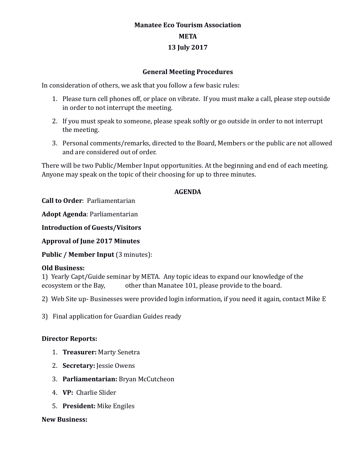# **Manatee Eco Tourism Association META 13 July 2017**

### **General Meeting Procedures**

In consideration of others, we ask that you follow a few basic rules:

- 1. Please turn cell phones off, or place on vibrate. If you must make a call, please step outside in order to not interrupt the meeting.
- 2. If you must speak to someone, please speak softly or go outside in order to not interrupt the meeting.
- 3. Personal comments/remarks, directed to the Board, Members or the public are not allowed and are considered out of order.

There will be two Public/Member Input opportunities. At the beginning and end of each meeting. Anyone may speak on the topic of their choosing for up to three minutes.

## **AGENDA**

**Call to Order**: Parliamentarian

**Adopt Agenda**: Parliamentarian

**Introduction of Guests/Visitors**

**Approval of June 2017 Minutes**

**Public / Member Input (3 minutes):** 

### **Old Business:**

1) Yearly Capt/Guide seminar by META. Any topic ideas to expand our knowledge of the ecosystem or the Bay, other than Manatee 101, please provide to the board.

2) Web Site up- Businesses were provided login information, if you need it again, contact Mike E

3) Final application for Guardian Guides ready

### **Director Reports:**

- 1. **Treasurer:** Marty Senetra
- 2. **Secretary:** Jessie Owens
- 3. **Parliamentarian:** Bryan McCutcheon
- 4. **VP:** Charlie Slider
- 5. **President:** Mike Engiles

#### **New Business:**